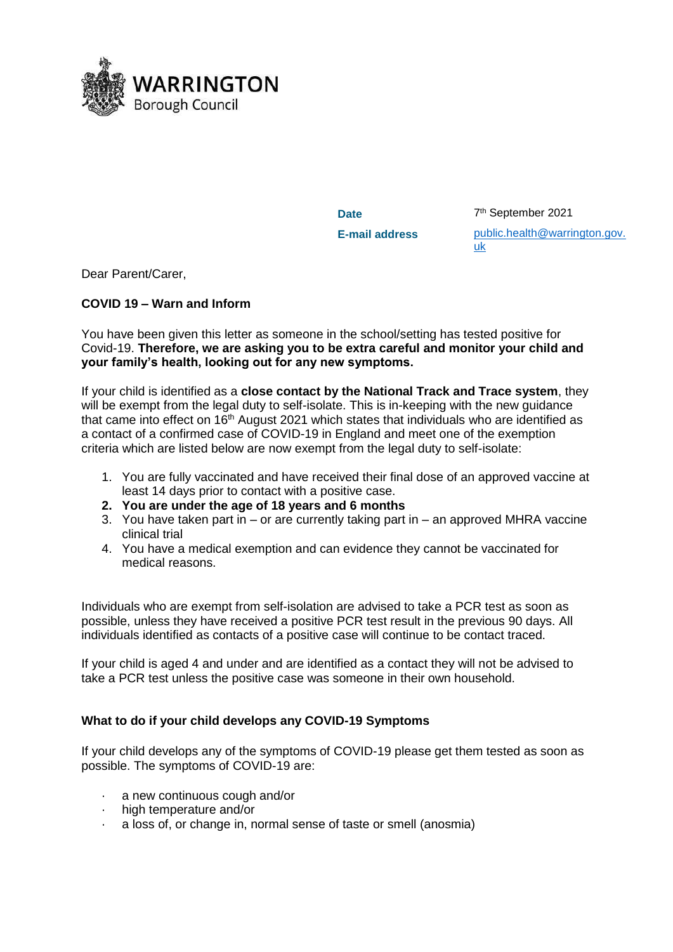

Date

7<sup>th</sup> September 2021 **E-mail address** [public.health@warrington.gov.](mailto:public.health@warrington.gov.uk) [uk](mailto:public.health@warrington.gov.uk)

Dear Parent/Carer,

# **COVID 19 – Warn and Inform**

You have been given this letter as someone in the school/setting has tested positive for Covid-19. **Therefore, we are asking you to be extra careful and monitor your child and your family's health, looking out for any new symptoms.**

If your child is identified as a **close contact by the National Track and Trace system**, they will be exempt from the legal duty to self-isolate. This is in-keeping with the new guidance that came into effect on  $16<sup>th</sup>$  August 2021 which states that individuals who are identified as a contact of a confirmed case of COVID-19 in England and meet one of the exemption criteria which are listed below are now exempt from the legal duty to self-isolate:

- 1. You are fully vaccinated and have received their final dose of an approved vaccine at least 14 days prior to contact with a positive case.
- **2. You are under the age of 18 years and 6 months**
- 3. You have taken part in or are currently taking part in an approved MHRA vaccine clinical trial
- 4. You have a medical exemption and can evidence they cannot be vaccinated for medical reasons.

Individuals who are exempt from self-isolation are advised to take a PCR test as soon as possible, unless they have received a positive PCR test result in the previous 90 days. All individuals identified as contacts of a positive case will continue to be contact traced.

If your child is aged 4 and under and are identified as a contact they will not be advised to take a PCR test unless the positive case was someone in their own household.

# **What to do if your child develops any COVID-19 Symptoms**

If your child develops any of the symptoms of COVID-19 please get them tested as soon as possible. The symptoms of COVID-19 are:

- a new continuous cough and/or
- high temperature and/or
- a loss of, or change in, normal sense of taste or smell (anosmia)